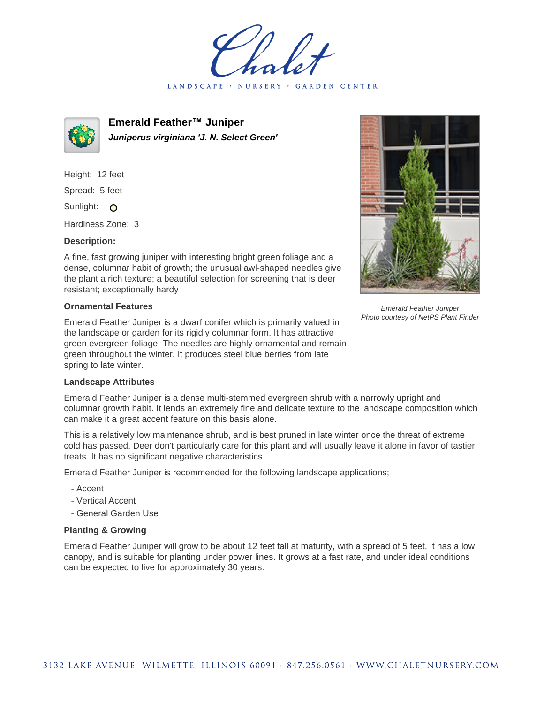LANDSCAPE · NURSERY GARDEN CENTER



**Emerald Feather™ Juniper Juniperus virginiana 'J. N. Select Green'**

Height: 12 feet Spread: 5 feet Sunlight: O Hardiness Zone: 3

## **Description:**

A fine, fast growing juniper with interesting bright green foliage and a dense, columnar habit of growth; the unusual awl-shaped needles give the plant a rich texture; a beautiful selection for screening that is deer resistant; exceptionally hardy

## **Ornamental Features**

Emerald Feather Juniper is a dwarf conifer which is primarily valued in the landscape or garden for its rigidly columnar form. It has attractive green evergreen foliage. The needles are highly ornamental and remain green throughout the winter. It produces steel blue berries from late spring to late winter.



Emerald Feather Juniper Photo courtesy of NetPS Plant Finder

## **Landscape Attributes**

Emerald Feather Juniper is a dense multi-stemmed evergreen shrub with a narrowly upright and columnar growth habit. It lends an extremely fine and delicate texture to the landscape composition which can make it a great accent feature on this basis alone.

This is a relatively low maintenance shrub, and is best pruned in late winter once the threat of extreme cold has passed. Deer don't particularly care for this plant and will usually leave it alone in favor of tastier treats. It has no significant negative characteristics.

Emerald Feather Juniper is recommended for the following landscape applications;

- Accent
- Vertical Accent
- General Garden Use

## **Planting & Growing**

Emerald Feather Juniper will grow to be about 12 feet tall at maturity, with a spread of 5 feet. It has a low canopy, and is suitable for planting under power lines. It grows at a fast rate, and under ideal conditions can be expected to live for approximately 30 years.